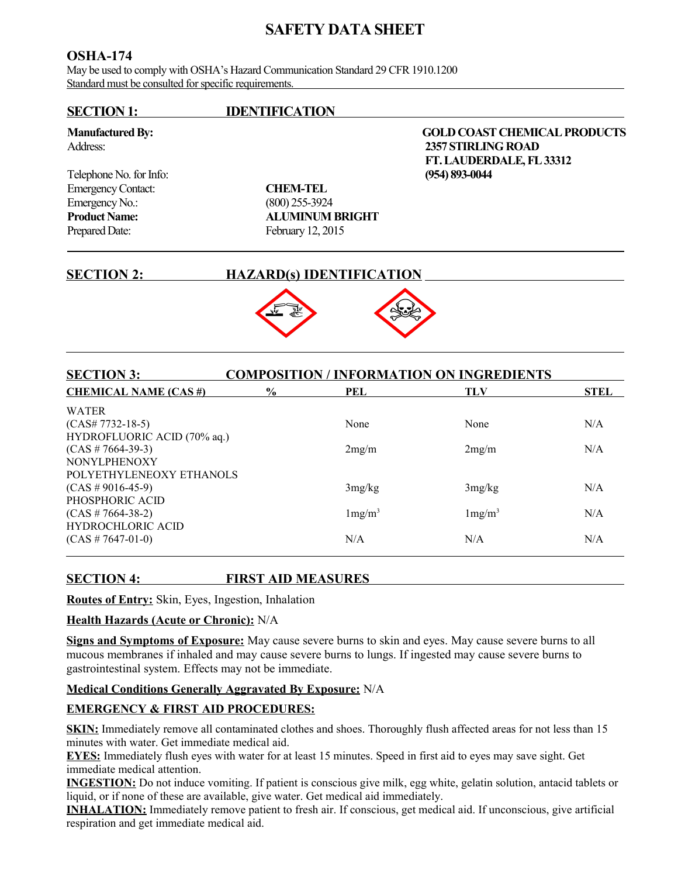# **SAFETY DATA SHEET**

# **OSHA-174**

May be used to comply with OSHA's Hazard Communication Standard 29 CFR 1910.1200 Standard must be consulted for specific requirements.

**SECTION 1: IDENTIFICATION** 

Telephone No. for Info: **(954) 893-0044** Emergency Contact: **CHEM-TEL** Emergency No.: (800) 255-3924 Prepared Date: February 12, 2015

**Product Name: ALUMINUM BRIGHT**

### **SECTION 2: HAZARD(s) IDENTIFICATION**



| <b>SECTION 3:</b><br>COMPOSITION / INFORMATION ON INGREDIENTS |               |                    |                   |             |  |
|---------------------------------------------------------------|---------------|--------------------|-------------------|-------------|--|
| <b>CHEMICAL NAME (CAS #)</b>                                  | $\frac{0}{0}$ | PEL                | TLV               | <b>STEL</b> |  |
| <b>WATER</b>                                                  |               |                    |                   |             |  |
| $(CAS# 7732-18-5)$                                            |               | None               | None              | N/A         |  |
| HYDROFLUORIC ACID (70% aq.)                                   |               |                    |                   |             |  |
| $(CAS # 7664-39-3)$                                           |               | 2mg/m              | 2mg/m             | N/A         |  |
| <b>NONYLPHENOXY</b>                                           |               |                    |                   |             |  |
| POLYETHYLENEOXY ETHANOLS                                      |               |                    |                   |             |  |
| $(CAS \# 9016-45-9)$                                          |               | 3mg/kg             | 3mg/kg            | N/A         |  |
| PHOSPHORIC ACID                                               |               |                    |                   |             |  |
| $(CAS \# 7664-38-2)$                                          |               | 1mg/m <sup>3</sup> | $1 \text{mg/m}^3$ | N/A         |  |
| <b>HYDROCHLORIC ACID</b>                                      |               |                    |                   |             |  |
| $(CAS \# 7647-01-0)$                                          |               | N/A                | N/A               | N/A         |  |
|                                                               |               |                    |                   |             |  |

# **SECTION 4: FIRST AID MEASURES**

**Routes of Entry:** Skin, Eyes, Ingestion, Inhalation

**Health Hazards (Acute or Chronic):** N/A

**Signs and Symptoms of Exposure:** May cause severe burns to skin and eyes. May cause severe burns to all mucous membranes if inhaled and may cause severe burns to lungs. If ingested may cause severe burns to gastrointestinal system. Effects may not be immediate.

# **Medical Conditions Generally Aggravated By Exposure:** N/A

# **EMERGENCY & FIRST AID PROCEDURES:**

**SKIN:** Immediately remove all contaminated clothes and shoes. Thoroughly flush affected areas for not less than 15 minutes with water. Get immediate medical aid.

**EYES:** Immediately flush eyes with water for at least 15 minutes. Speed in first aid to eyes may save sight. Get immediate medical attention.

**INGESTION:** Do not induce vomiting. If patient is conscious give milk, egg white, gelatin solution, antacid tablets or liquid, or if none of these are available, give water. Get medical aid immediately.

**INHALATION:** Immediately remove patient to fresh air. If conscious, get medical aid. If unconscious, give artificial respiration and get immediate medical aid.

# **Manufactured By: GOLD COAST CHEMICAL PRODUCTS** Address: **2357 STIRLING ROAD FT. LAUDERDALE, FL 33312**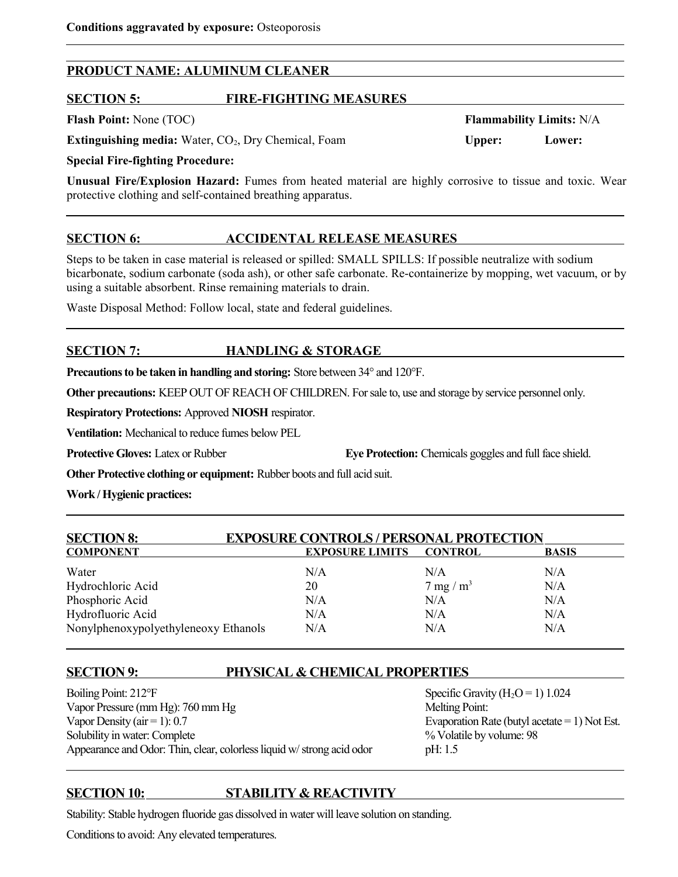# **PRODUCT NAME: ALUMINUM CLEANER**

### **SECTION 5: FIRE-FIGHTING MEASURES**

**Extinguishing media:** Water, CO<sub>2</sub>, Dry Chemical, Foam **Upper:** Lower:

**Special Fire-fighting Procedure:**

**Unusual Fire/Explosion Hazard:** Fumes from heated material are highly corrosive to tissue and toxic. Wear protective clothing and self-contained breathing apparatus.

# **SECTION 6: ACCIDENTAL RELEASE MEASURES**

Steps to be taken in case material is released or spilled: SMALL SPILLS: If possible neutralize with sodium bicarbonate, sodium carbonate (soda ash), or other safe carbonate. Re-containerize by mopping, wet vacuum, or by using a suitable absorbent. Rinse remaining materials to drain.

Waste Disposal Method: Follow local, state and federal guidelines.

# **SECTION 7: HANDLING & STORAGE**

**Precautions to be taken in handling and storing:** Store between 34° and 120°F.

**Other precautions:** KEEP OUT OF REACH OF CHILDREN. For sale to, use and storage by service personnel only.

**Respiratory Protections:** Approved **NIOSH** respirator.

**Ventilation:** Mechanical to reduce fumes below PEL

**Protective Gloves:** Latex or Rubber **Eye Protection:** Chemicals goggles and full face shield.

**Other Protective clothing or equipment:** Rubber boots and full acid suit.

**Work / Hygienic practices:**

| <b>SECTION 8:</b>                    |                        | <b>EXPOSURE CONTROLS / PERSONAL PROTECTION</b> |              |
|--------------------------------------|------------------------|------------------------------------------------|--------------|
| <b>COMPONENT</b>                     | <b>EXPOSURE LIMITS</b> | <b>CONTROL</b>                                 | <b>BASIS</b> |
| Water                                | N/A                    | N/A                                            | N/A          |
| Hydrochloric Acid                    | 20                     | $7 \text{ mg} / \text{m}^3$                    | N/A          |
| Phosphoric Acid                      | N/A                    | N/A                                            | N/A          |
| Hydrofluoric Acid                    | N/A                    | N/A                                            | N/A          |
| Nonylphenoxypolyethyleneoxy Ethanols | N/A                    | N/A                                            | N/A          |

# **SECTION 9: PHYSICAL & CHEMICAL PROPERTIES**

Boiling Point:  $212^{\circ}F$  Specific Gravity  $(H_2O = 1) 1.024$ Vapor Pressure (mm Hg): 760 mm Hg Melting Point: Vapor Density (air = 1): 0.7 Evaporation Rate (butyl acetate = 1) Not Est. Solubility in water: Complete  $\%$  Volatile by volume: 98 Appearance and Odor: Thin, clear, colorless liquid w/ strong acid odor pH: 1.5

# **SECTION 10: STABILITY & REACTIVITY**

Stability: Stable hydrogen fluoride gas dissolved in water will leave solution on standing.

Conditions to avoid: Any elevated temperatures.

**Flash Point:** None (TOC) **Flammability Limits:** N/A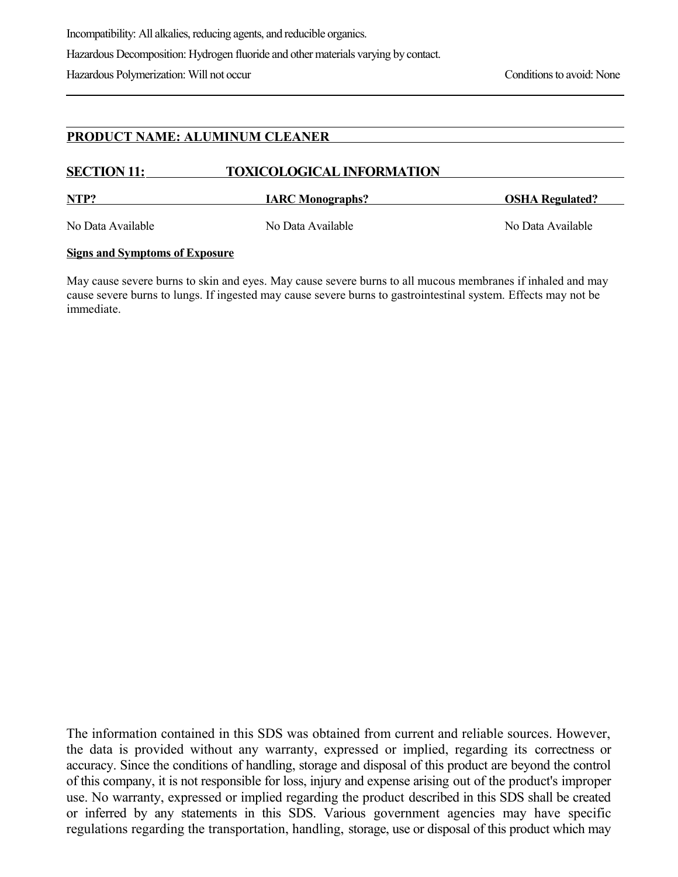Incompatibility: All alkalies, reducing agents, and reducible organics. Hazardous Decomposition: Hydrogen fluoride and other materials varying by contact.

Hazardous Polymerization: Will not occur Conditions to avoid: None

# **PRODUCT NAME: ALUMINUM CLEANER**

### **SECTION 11: TOXICOLOGICAL INFORMATION**

**NTP? IARC Monographs? OSHA Regulated?** No Data Available No Data Available No Data Available

### **Signs and Symptoms of Exposure**

May cause severe burns to skin and eyes. May cause severe burns to all mucous membranes if inhaled and may cause severe burns to lungs. If ingested may cause severe burns to gastrointestinal system. Effects may not be immediate.

The information contained in this SDS was obtained from current and reliable sources. However, the data is provided without any warranty, expressed or implied, regarding its correctness or accuracy. Since the conditions of handling, storage and disposal of this product are beyond the control of this company, it is not responsible for loss, injury and expense arising out of the product's improper use. No warranty, expressed or implied regarding the product described in this SDS shall be created or inferred by any statements in this SDS. Various government agencies may have specific regulations regarding the transportation, handling, storage, use or disposal of this product which may